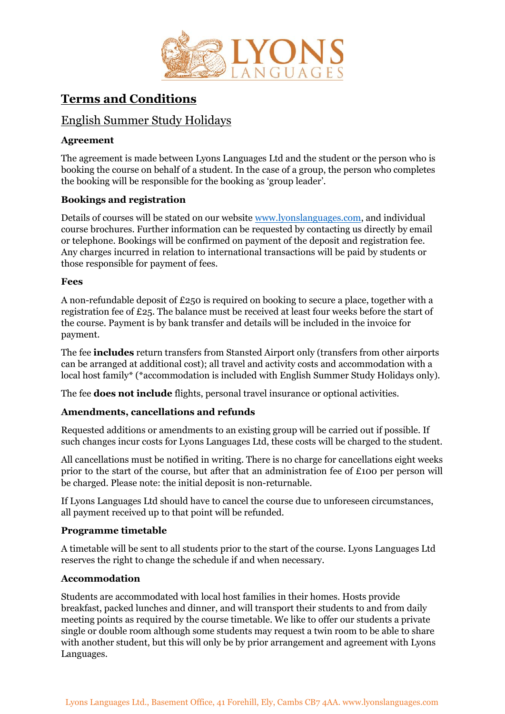

# **Terms and Conditions**

## English Summer Study Holidays

## **Agreement**

The agreement is made between Lyons Languages Ltd and the student or the person who is booking the course on behalf of a student. In the case of a group, the person who completes the booking will be responsible for the booking as 'group leader'.

### **Bookings and registration**

Details of courses will be stated on our website [www.lyonslanguages.com,](http://www.lyonslanguages.com/) and individual course brochures. Further information can be requested by contacting us directly by email or telephone. Bookings will be confirmed on payment of the deposit and registration fee. Any charges incurred in relation to international transactions will be paid by students or those responsible for payment of fees.

#### **Fees**

A non-refundable deposit of £250 is required on booking to secure a place, together with a registration fee of £25. The balance must be received at least four weeks before the start of the course. Payment is by bank transfer and details will be included in the invoice for payment.

The fee **includes** return transfers from Stansted Airport only (transfers from other airports can be arranged at additional cost); all travel and activity costs and accommodation with a local host family\* (\*accommodation is included with English Summer Study Holidays only).

The fee **does not include** flights, personal travel insurance or optional activities.

## **Amendments, cancellations and refunds**

Requested additions or amendments to an existing group will be carried out if possible. If such changes incur costs for Lyons Languages Ltd, these costs will be charged to the student.

All cancellations must be notified in writing. There is no charge for cancellations eight weeks prior to the start of the course, but after that an administration fee of £100 per person will be charged. Please note: the initial deposit is non-returnable.

If Lyons Languages Ltd should have to cancel the course due to unforeseen circumstances, all payment received up to that point will be refunded.

#### **Programme timetable**

A timetable will be sent to all students prior to the start of the course. Lyons Languages Ltd reserves the right to change the schedule if and when necessary.

#### **Accommodation**

Students are accommodated with local host families in their homes. Hosts provide breakfast, packed lunches and dinner, and will transport their students to and from daily meeting points as required by the course timetable. We like to offer our students a private single or double room although some students may request a twin room to be able to share with another student, but this will only be by prior arrangement and agreement with Lyons Languages.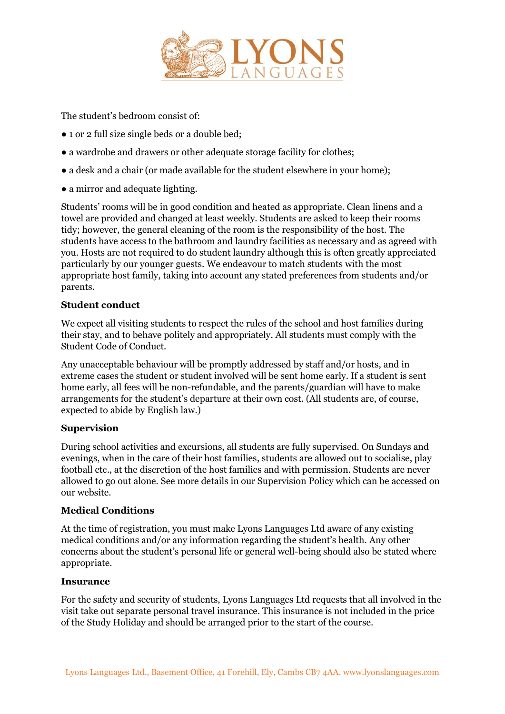

The student's bedroom consist of:

- 1 or 2 full size single beds or a double bed;
- a wardrobe and drawers or other adequate storage facility for clothes;
- a desk and a chair (or made available for the student elsewhere in your home);
- a mirror and adequate lighting.

Students' rooms will be in good condition and heated as appropriate. Clean linens and a towel are provided and changed at least weekly. Students are asked to keep their rooms tidy; however, the general cleaning of the room is the responsibility of the host. The students have access to the bathroom and laundry facilities as necessary and as agreed with you. Hosts are not required to do student laundry although this is often greatly appreciated particularly by our younger guests. We endeavour to match students with the most appropriate host family, taking into account any stated preferences from students and/or parents.

#### **Student conduct**

We expect all visiting students to respect the rules of the school and host families during their stay, and to behave politely and appropriately. All students must comply with the Student Code of Conduct.

Any unacceptable behaviour will be promptly addressed by staff and/or hosts, and in extreme cases the student or student involved will be sent home early. If a student is sent home early, all fees will be non-refundable, and the parents/guardian will have to make arrangements for the student's departure at their own cost. (All students are, of course, expected to abide by English law.)

#### **Supervision**

During school activities and excursions, all students are fully supervised. On Sundays and evenings, when in the care of their host families, students are allowed out to socialise, play football etc., at the discretion of the host families and with permission. Students are never allowed to go out alone. See more details in our Supervision Policy which can be accessed on our website.

#### **Medical Conditions**

At the time of registration, you must make Lyons Languages Ltd aware of any existing medical conditions and/or any information regarding the student's health. Any other concerns about the student's personal life or general well-being should also be stated where appropriate.

#### **Insurance**

For the safety and security of students, Lyons Languages Ltd requests that all involved in the visit take out separate personal travel insurance. This insurance is not included in the price of the Study Holiday and should be arranged prior to the start of the course.